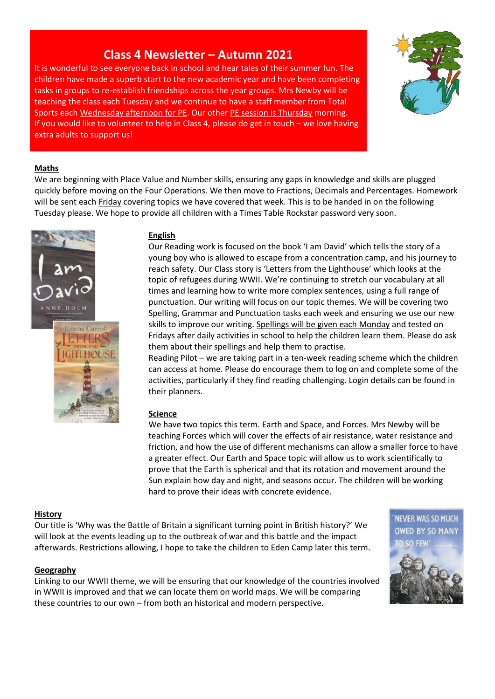# **Class 4 Newsletter – Autumn 2021**

It is wonderful to see everyone back in school and hear tales of their summer fun. The children have made a superb start to the new academic year and have been completing tasks in groups to re-establish friendships across the year groups. Mrs Newby will be teaching the class each Tuesday and we continue to have a staff member from Total Sports each Wednesday afternoon for PE. Our other PE session is Thursday morning. If you would like to volunteer to help in Class 4, please do get in touch – we love having extra adults to support us!



### **Maths**

We are beginning with Place Value and Number skills, ensuring any gaps in knowledge and skills are plugged quickly before moving on the Four Operations. We then move to Fractions, Decimals and Percentages. Homework will be sent each Friday covering topics we have covered that week. This is to be handed in on the following Tuesday please. We hope to provide all children with a Times Table Rockstar password very soon.



#### **English**

Our Reading work is focused on the book 'I am David' which tells the story of a young boy who is allowed to escape from a concentration camp, and his journey to reach safety. Our Class story is 'Letters from the Lighthouse' which looks at the topic of refugees during WWII. We're continuing to stretch our vocabulary at all times and learning how to write more complex sentences, using a full range of punctuation. Our writing will focus on our topic themes. We will be covering two Spelling, Grammar and Punctuation tasks each week and ensuring we use our new skills to improve our writing. Spellings will be given each Monday and tested on Fridays after daily activities in school to help the children learn them. Please do ask them about their spellings and help them to practise.

Reading Pilot – we are taking part in a ten-week reading scheme which the children can access at home. Please do encourage them to log on and complete some of the activities, particularly if they find reading challenging. Login details can be found in their planners.

#### **Science**

We have two topics this term. Earth and Space, and Forces. Mrs Newby will be teaching Forces which will cover the effects of air resistance, water resistance and friction, and how the use of different mechanisms can allow a smaller force to have a greater effect. Our Earth and Space topic will allow us to work scientifically to prove that the Earth is spherical and that its rotation and movement around the Sun explain how day and night, and seasons occur. The children will be working hard to prove their ideas with concrete evidence.

#### **History**

Our title is 'Why was the Battle of Britain a significant turning point in British history?' We will look at the events leading up to the outbreak of war and this battle and the impact afterwards. Restrictions allowing, I hope to take the children to Eden Camp later this term.

#### **Geography**

Linking to our WWII theme, we will be ensuring that our knowledge of the countries involved in WWII is improved and that we can locate them on world maps. We will be comparing these countries to our own – from both an historical and modern perspective.

'NEVER WAS SO MUCH **OWED BY SO MANY** TO SO FEW